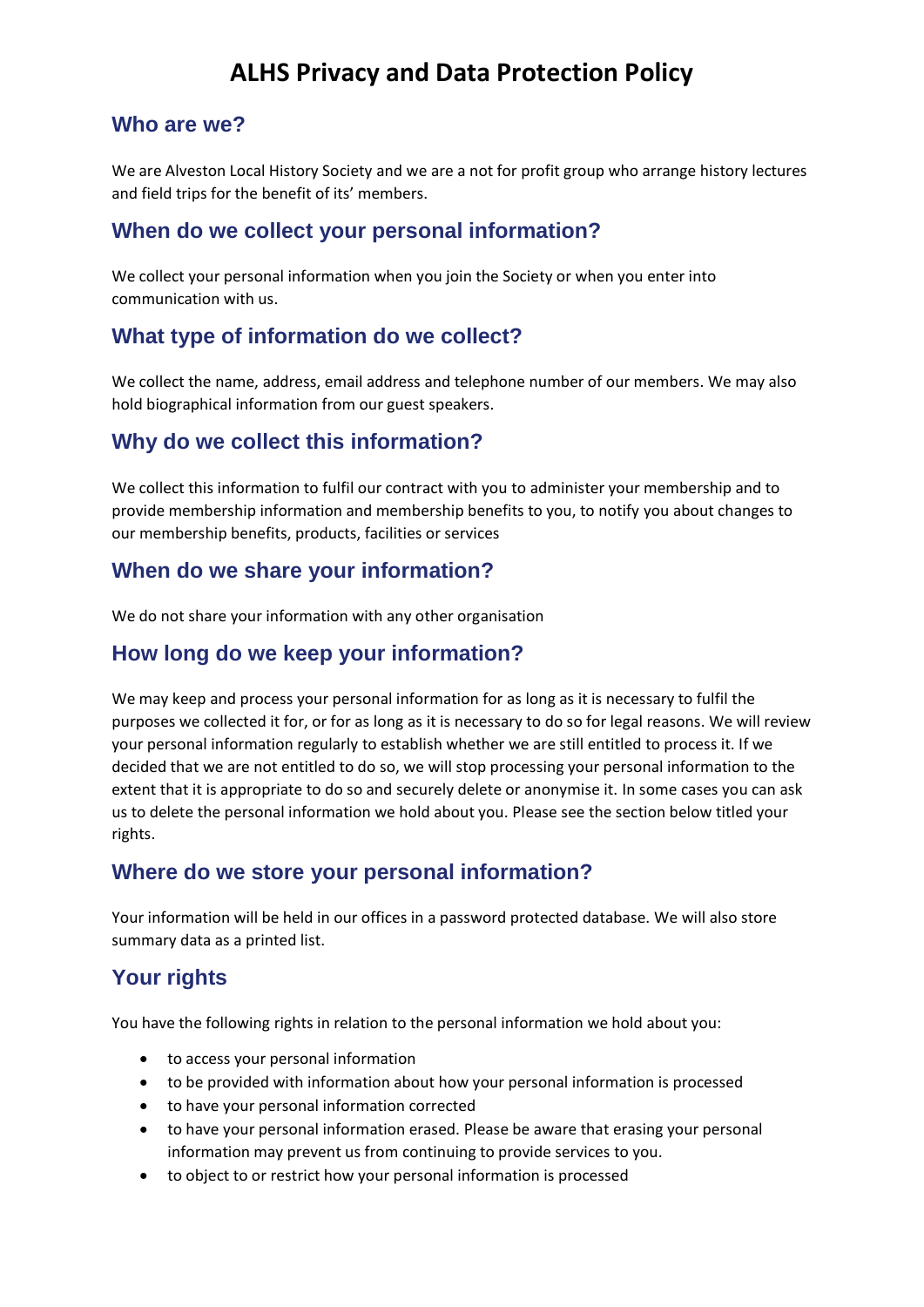## **ALHS Privacy and Data Protection Policy**

#### **Who are we?**

We are Alveston Local History Society and we are a not for profit group who arrange history lectures and field trips for the benefit of its' members.

### **When do we collect your personal information?**

We collect your personal information when you join the Society or when you enter into communication with us.

### **What type of information do we collect?**

We collect the name, address, email address and telephone number of our members. We may also hold biographical information from our guest speakers.

## **Why do we collect this information?**

We collect this information to fulfil our contract with you to administer your membership and to provide membership information and membership benefits to you, to notify you about changes to our membership benefits, products, facilities or services

#### **When do we share your information?**

We do not share your information with any other organisation

## **How long do we keep your information?**

We may keep and process your personal information for as long as it is necessary to fulfil the purposes we collected it for, or for as long as it is necessary to do so for legal reasons. We will review your personal information regularly to establish whether we are still entitled to process it. If we decided that we are not entitled to do so, we will stop processing your personal information to the extent that it is appropriate to do so and securely delete or anonymise it. In some cases you can ask us to delete the personal information we hold about you. Please see the section below titled your rights.

## **Where do we store your personal information?**

Your information will be held in our offices in a password protected database. We will also store summary data as a printed list.

## **Your rights**

You have the following rights in relation to the personal information we hold about you:

- to access your personal information
- to be provided with information about how your personal information is processed
- to have your personal information corrected
- to have your personal information erased. Please be aware that erasing your personal information may prevent us from continuing to provide services to you.
- to object to or restrict how your personal information is processed